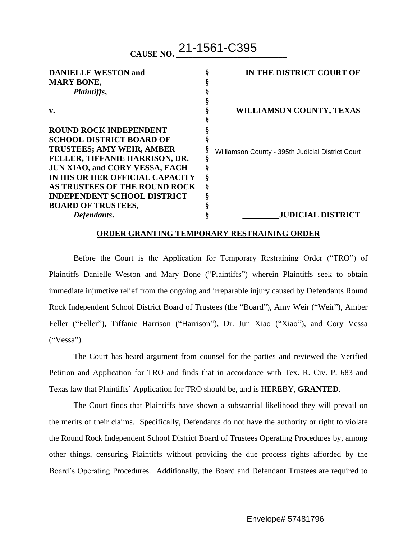**CAUSE NO. \_\_\_\_\_\_\_\_\_\_\_\_\_\_\_\_\_\_\_\_\_\_\_\_\_\_\_** 21-1561-C395

| <b>DANIELLE WESTON and</b>            |   | IN THE DISTRICT COURT OF                          |
|---------------------------------------|---|---------------------------------------------------|
| <b>MARY BONE,</b>                     |   |                                                   |
| Plaintiffs,                           |   |                                                   |
|                                       |   |                                                   |
| v.                                    |   | <b>WILLIAMSON COUNTY, TEXAS</b>                   |
|                                       |   |                                                   |
| <b>ROUND ROCK INDEPENDENT</b>         |   |                                                   |
| <b>SCHOOL DISTRICT BOARD OF</b>       |   |                                                   |
| <b>TRUSTEES; AMY WEIR, AMBER</b>      |   | Williamson County - 395th Judicial District Court |
| FELLER, TIFFANIE HARRISON, DR.        |   |                                                   |
| <b>JUN XIAO, and CORY VESSA, EACH</b> |   |                                                   |
| IN HIS OR HER OFFICIAL CAPACITY       | Ş |                                                   |
| AS TRUSTEES OF THE ROUND ROCK         | ş |                                                   |
| <b>INDEPENDENT SCHOOL DISTRICT</b>    |   |                                                   |
| <b>BOARD OF TRUSTEES,</b>             |   |                                                   |
| Defendants.                           |   | <b>JUDICIAL DISTRICT</b>                          |

## **ORDER GRANTING TEMPORARY RESTRAINING ORDER**

Before the Court is the Application for Temporary Restraining Order ("TRO") of Plaintiffs Danielle Weston and Mary Bone ("Plaintiffs") wherein Plaintiffs seek to obtain immediate injunctive relief from the ongoing and irreparable injury caused by Defendants Round Rock Independent School District Board of Trustees (the "Board"), Amy Weir ("Weir"), Amber Feller ("Feller"), Tiffanie Harrison ("Harrison"), Dr. Jun Xiao ("Xiao"), and Cory Vessa ("Vessa").

The Court has heard argument from counsel for the parties and reviewed the Verified Petition and Application for TRO and finds that in accordance with Tex. R. Civ. P. 683 and Texas law that Plaintiffs' Application for TRO should be, and is HEREBY, **GRANTED**.

The Court finds that Plaintiffs have shown a substantial likelihood they will prevail on the merits of their claims. Specifically, Defendants do not have the authority or right to violate the Round Rock Independent School District Board of Trustees Operating Procedures by, among other things, censuring Plaintiffs without providing the due process rights afforded by the Board's Operating Procedures. Additionally, the Board and Defendant Trustees are required to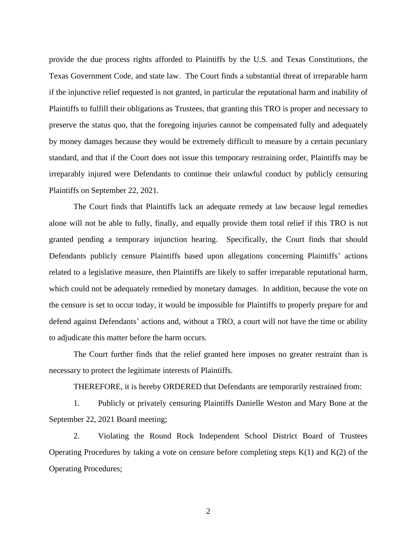provide the due process rights afforded to Plaintiffs by the U.S. and Texas Constitutions, the Texas Government Code, and state law. The Court finds a substantial threat of irreparable harm if the injunctive relief requested is not granted, in particular the reputational harm and inability of Plaintiffs to fulfill their obligations as Trustees, that granting this TRO is proper and necessary to preserve the status quo, that the foregoing injuries cannot be compensated fully and adequately by money damages because they would be extremely difficult to measure by a certain pecuniary standard, and that if the Court does not issue this temporary restraining order, Plaintiffs may be irreparably injured were Defendants to continue their unlawful conduct by publicly censuring Plaintiffs on September 22, 2021.

The Court finds that Plaintiffs lack an adequate remedy at law because legal remedies alone will not be able to fully, finally, and equally provide them total relief if this TRO is not granted pending a temporary injunction hearing. Specifically, the Court finds that should Defendants publicly censure Plaintiffs based upon allegations concerning Plaintiffs' actions related to a legislative measure, then Plaintiffs are likely to suffer irreparable reputational harm, which could not be adequately remedied by monetary damages. In addition, because the vote on the censure is set to occur today, it would be impossible for Plaintiffs to properly prepare for and defend against Defendants' actions and, without a TRO, a court will not have the time or ability to adjudicate this matter before the harm occurs.

The Court further finds that the relief granted here imposes no greater restraint than is necessary to protect the legitimate interests of Plaintiffs.

THEREFORE, it is hereby ORDERED that Defendants are temporarily restrained from:

1. Publicly or privately censuring Plaintiffs Danielle Weston and Mary Bone at the September 22, 2021 Board meeting;

2. Violating the Round Rock Independent School District Board of Trustees Operating Procedures by taking a vote on censure before completing steps  $K(1)$  and  $K(2)$  of the Operating Procedures;

2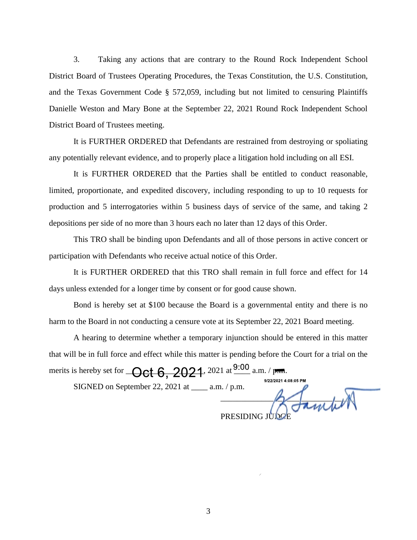3. Taking any actions that are contrary to the Round Rock Independent School District Board of Trustees Operating Procedures, the Texas Constitution, the U.S. Constitution, and the Texas Government Code § 572,059, including but not limited to censuring Plaintiffs Danielle Weston and Mary Bone at the September 22, 2021 Round Rock Independent School District Board of Trustees meeting.

It is FURTHER ORDERED that Defendants are restrained from destroying or spoliating any potentially relevant evidence, and to properly place a litigation hold including on all ESI.

It is FURTHER ORDERED that the Parties shall be entitled to conduct reasonable, limited, proportionate, and expedited discovery, including responding to up to 10 requests for production and 5 interrogatories within 5 business days of service of the same, and taking 2 depositions per side of no more than 3 hours each no later than 12 days of this Order.

This TRO shall be binding upon Defendants and all of those persons in active concert or participation with Defendants who receive actual notice of this Order.

It is FURTHER ORDERED that this TRO shall remain in full force and effect for 14 days unless extended for a longer time by consent or for good cause shown.

Bond is hereby set at \$100 because the Board is a governmental entity and there is no harm to the Board in not conducting a censure vote at its September 22, 2021 Board meeting.

A hearing to determine whether a temporary injunction should be entered in this matter that will be in full force and effect while this matter is pending before the Court for a trial on the merits is hereby set for  $\leftarrow$  Oct 6, 2021, 2021 at  $\frac{9:00}{2}$  a.m. / p.m.

SIGNED on September 22, 2021 at \_\_\_\_ a.m. / p.m.

9/22/2021 4:08:05 PM  $\frac{1}{2}$ 

PRESIDING JUDGE